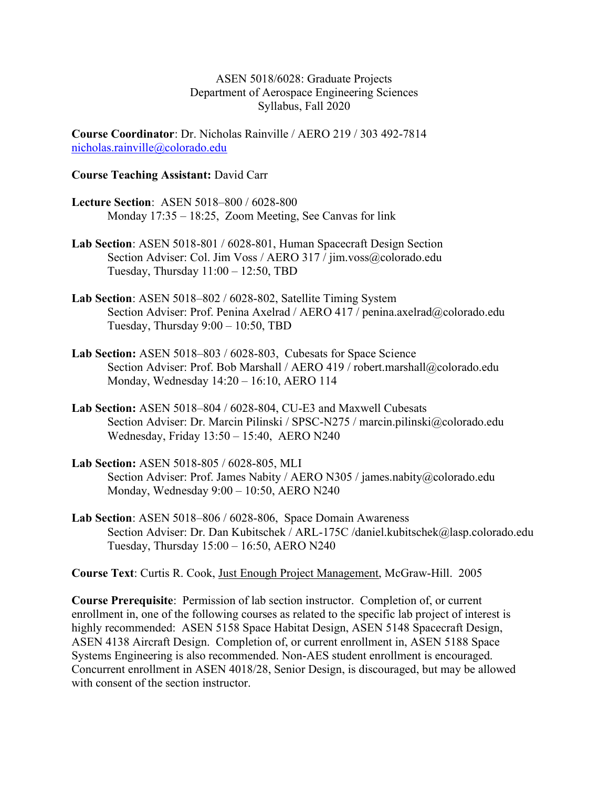ASEN 5018/6028: Graduate Projects Department of Aerospace Engineering Sciences Syllabus, Fall 2020

Course Coordinator: Dr. Nicholas Rainville / AERO 219 / 303 492-7814 nicholas.rainville@colorado.edu

#### Course Teaching Assistant: David Carr

- Lecture Section: ASEN 5018–800 / 6028-800 Monday 17:35 – 18:25, Zoom Meeting, See Canvas for link
- Lab Section: ASEN 5018-801 / 6028-801, Human Spacecraft Design Section Section Adviser: Col. Jim Voss / AERO 317 / jim.voss@colorado.edu Tuesday, Thursday 11:00 – 12:50, TBD
- Lab Section: ASEN 5018–802 / 6028-802, Satellite Timing System Section Adviser: Prof. Penina Axelrad / AERO 417 / penina.axelrad@colorado.edu Tuesday, Thursday 9:00 – 10:50, TBD
- Lab Section: ASEN 5018–803 / 6028-803, Cubesats for Space Science Section Adviser: Prof. Bob Marshall / AERO 419 / robert.marshall@colorado.edu Monday, Wednesday 14:20 – 16:10, AERO 114
- Lab Section: ASEN 5018–804 / 6028-804, CU-E3 and Maxwell Cubesats Section Adviser: Dr. Marcin Pilinski / SPSC-N275 / marcin.pilinski@colorado.edu Wednesday, Friday 13:50 – 15:40, AERO N240
- Lab Section: ASEN 5018-805 / 6028-805, MLI Section Adviser: Prof. James Nabity / AERO N305 / james.nabity@colorado.edu Monday, Wednesday 9:00 – 10:50, AERO N240
- Lab Section: ASEN 5018–806 / 6028-806, Space Domain Awareness Section Adviser: Dr. Dan Kubitschek / ARL-175C /daniel.kubitschek@lasp.colorado.edu Tuesday, Thursday 15:00 – 16:50, AERO N240

Course Text: Curtis R. Cook, Just Enough Project Management, McGraw-Hill. 2005

Course Prerequisite: Permission of lab section instructor. Completion of, or current enrollment in, one of the following courses as related to the specific lab project of interest is highly recommended: ASEN 5158 Space Habitat Design, ASEN 5148 Spacecraft Design, ASEN 4138 Aircraft Design. Completion of, or current enrollment in, ASEN 5188 Space Systems Engineering is also recommended. Non-AES student enrollment is encouraged. Concurrent enrollment in ASEN 4018/28, Senior Design, is discouraged, but may be allowed with consent of the section instructor.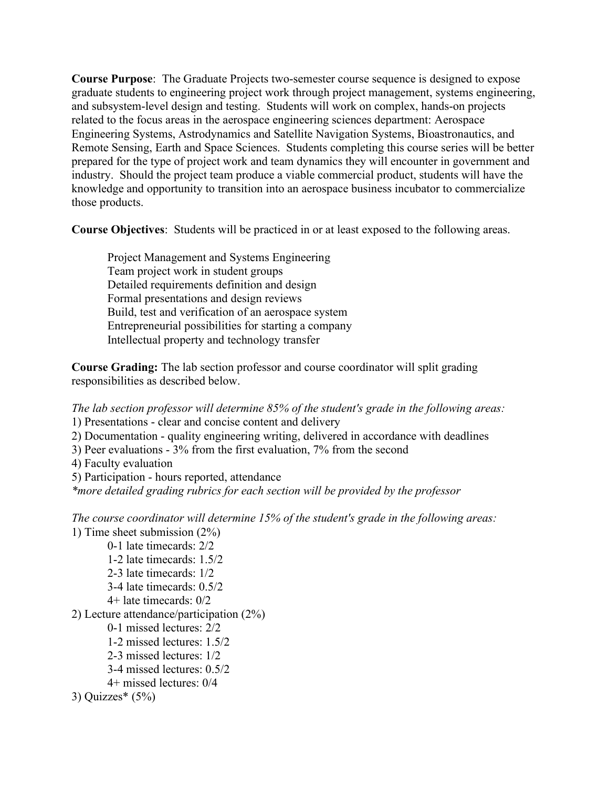Course Purpose: The Graduate Projects two-semester course sequence is designed to expose graduate students to engineering project work through project management, systems engineering, and subsystem-level design and testing. Students will work on complex, hands-on projects related to the focus areas in the aerospace engineering sciences department: Aerospace Engineering Systems, Astrodynamics and Satellite Navigation Systems, Bioastronautics, and Remote Sensing, Earth and Space Sciences. Students completing this course series will be better prepared for the type of project work and team dynamics they will encounter in government and industry. Should the project team produce a viable commercial product, students will have the knowledge and opportunity to transition into an aerospace business incubator to commercialize those products.

Course Objectives: Students will be practiced in or at least exposed to the following areas.

 Project Management and Systems Engineering Team project work in student groups Detailed requirements definition and design Formal presentations and design reviews Build, test and verification of an aerospace system Entrepreneurial possibilities for starting a company Intellectual property and technology transfer

Course Grading: The lab section professor and course coordinator will split grading responsibilities as described below.

The lab section professor will determine 85% of the student's grade in the following areas:

1) Presentations - clear and concise content and delivery

2) Documentation - quality engineering writing, delivered in accordance with deadlines

3) Peer evaluations - 3% from the first evaluation, 7% from the second

4) Faculty evaluation

5) Participation - hours reported, attendance

\*more detailed grading rubrics for each section will be provided by the professor

The course coordinator will determine 15% of the student's grade in the following areas: 1) Time sheet submission (2%)

 0-1 late timecards: 2/2 1-2 late timecards: 1.5/2 2-3 late timecards: 1/2 3-4 late timecards: 0.5/2 4+ late timecards: 0/2 2) Lecture attendance/participation (2%) 0-1 missed lectures: 2/2 1-2 missed lectures: 1.5/2 2-3 missed lectures: 1/2 3-4 missed lectures: 0.5/2 4+ missed lectures: 0/4

```
3) Quizzes*(5%)
```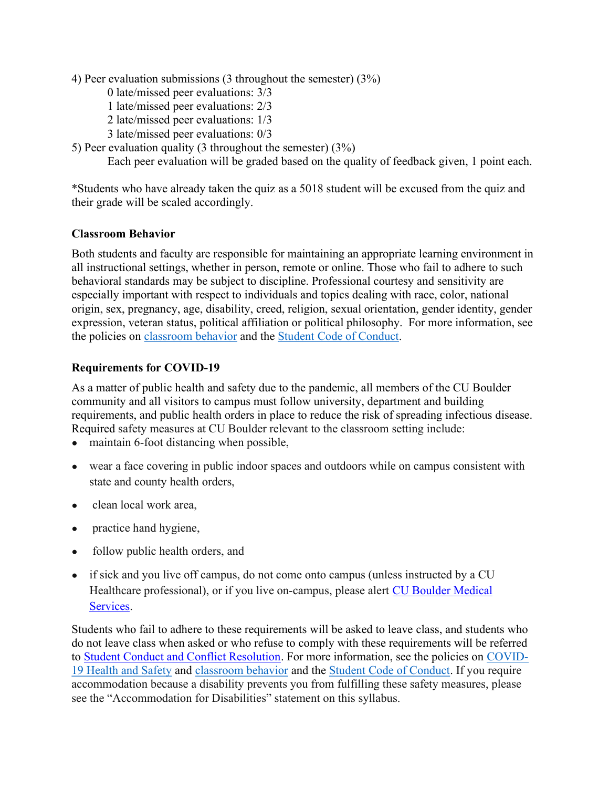4) Peer evaluation submissions (3 throughout the semester) (3%)

- 0 late/missed peer evaluations: 3/3
- 1 late/missed peer evaluations: 2/3
- 2 late/missed peer evaluations: 1/3
- 3 late/missed peer evaluations: 0/3
- 5) Peer evaluation quality (3 throughout the semester) (3%)

Each peer evaluation will be graded based on the quality of feedback given, 1 point each.

\*Students who have already taken the quiz as a 5018 student will be excused from the quiz and their grade will be scaled accordingly.

#### Classroom Behavior

Both students and faculty are responsible for maintaining an appropriate learning environment in all instructional settings, whether in person, remote or online. Those who fail to adhere to such behavioral standards may be subject to discipline. Professional courtesy and sensitivity are especially important with respect to individuals and topics dealing with race, color, national origin, sex, pregnancy, age, disability, creed, religion, sexual orientation, gender identity, gender expression, veteran status, political affiliation or political philosophy. For more information, see the policies on classroom behavior and the Student Code of Conduct.

## Requirements for COVID-19

As a matter of public health and safety due to the pandemic, all members of the CU Boulder community and all visitors to campus must follow university, department and building requirements, and public health orders in place to reduce the risk of spreading infectious disease. Required safety measures at CU Boulder relevant to the classroom setting include:

- maintain 6-foot distancing when possible,
- wear a face covering in public indoor spaces and outdoors while on campus consistent with state and county health orders,
- clean local work area,
- practice hand hygiene,
- follow public health orders, and
- if sick and you live off campus, do not come onto campus (unless instructed by a CU Healthcare professional), or if you live on-campus, please alert CU Boulder Medical Services.

Students who fail to adhere to these requirements will be asked to leave class, and students who do not leave class when asked or who refuse to comply with these requirements will be referred to Student Conduct and Conflict Resolution. For more information, see the policies on COVID-19 Health and Safety and classroom behavior and the Student Code of Conduct. If you require accommodation because a disability prevents you from fulfilling these safety measures, please see the "Accommodation for Disabilities" statement on this syllabus.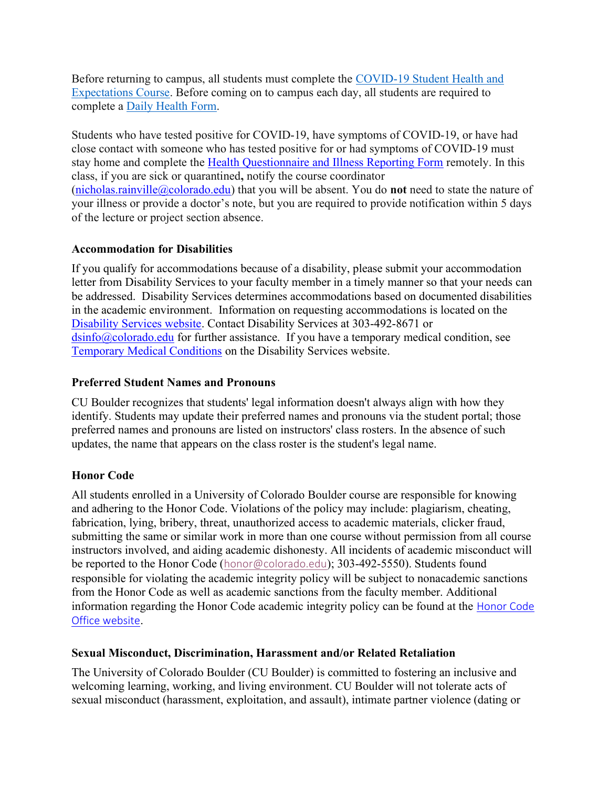Before returning to campus, all students must complete the COVID-19 Student Health and Expectations Course. Before coming on to campus each day, all students are required to complete a Daily Health Form.

Students who have tested positive for COVID-19, have symptoms of COVID-19, or have had close contact with someone who has tested positive for or had symptoms of COVID-19 must stay home and complete the Health Questionnaire and Illness Reporting Form remotely. In this class, if you are sick or quarantined, notify the course coordinator

(nicholas.rainville@colorado.edu) that you will be absent. You do **not** need to state the nature of your illness or provide a doctor's note, but you are required to provide notification within 5 days of the lecture or project section absence.

## Accommodation for Disabilities

If you qualify for accommodations because of a disability, please submit your accommodation letter from Disability Services to your faculty member in a timely manner so that your needs can be addressed. Disability Services determines accommodations based on documented disabilities in the academic environment. Information on requesting accommodations is located on the Disability Services website. Contact Disability Services at 303-492-8671 or  $\sin 6$  ( $\theta$ ) colorado.edu for further assistance. If you have a temporary medical condition, see Temporary Medical Conditions on the Disability Services website.

## Preferred Student Names and Pronouns

CU Boulder recognizes that students' legal information doesn't always align with how they identify. Students may update their preferred names and pronouns via the student portal; those preferred names and pronouns are listed on instructors' class rosters. In the absence of such updates, the name that appears on the class roster is the student's legal name.

# Honor Code

All students enrolled in a University of Colorado Boulder course are responsible for knowing and adhering to the Honor Code. Violations of the policy may include: plagiarism, cheating, fabrication, lying, bribery, threat, unauthorized access to academic materials, clicker fraud, submitting the same or similar work in more than one course without permission from all course instructors involved, and aiding academic dishonesty. All incidents of academic misconduct will be reported to the Honor Code (honor@colorado.edu); 303-492-5550). Students found responsible for violating the academic integrity policy will be subject to nonacademic sanctions from the Honor Code as well as academic sanctions from the faculty member. Additional information regarding the Honor Code academic integrity policy can be found at the Honor Code Office website.

# Sexual Misconduct, Discrimination, Harassment and/or Related Retaliation

The University of Colorado Boulder (CU Boulder) is committed to fostering an inclusive and welcoming learning, working, and living environment. CU Boulder will not tolerate acts of sexual misconduct (harassment, exploitation, and assault), intimate partner violence (dating or